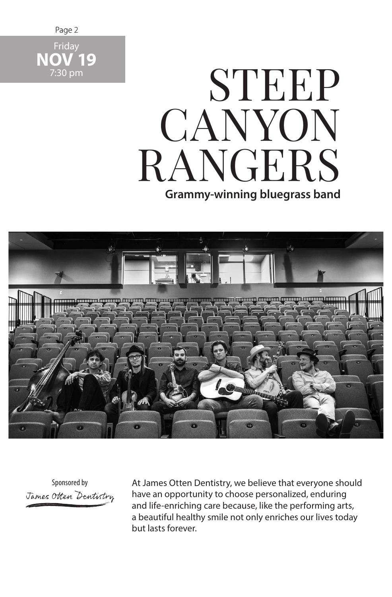

## **Grammy-winning bluegrass band** STEEP **CANYON** RANGERS



Sponsored by James Otten Dentistry At James Otten Dentistry, we believe that everyone should have an opportunity to choose personalized, enduring and life-enriching care because, like the performing arts, a beautiful healthy smile not only enriches our lives today but lasts forever.